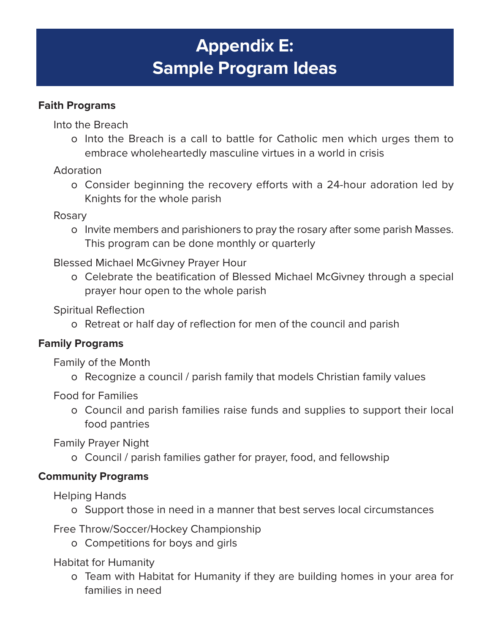# **Appendix E: Sample Program Ideas**

# **Faith Programs**

Into the Breach

o Into the Breach is a call to battle for Catholic men which urges them to embrace wholeheartedly masculine virtues in a world in crisis

Adoration

o Consider beginning the recovery efforts with a 24-hour adoration led by Knights for the whole parish

Rosary

o Invite members and parishioners to pray the rosary after some parish Masses. This program can be done monthly or quarterly

Blessed Michael McGivney Prayer Hour

o Celebrate the beatification of Blessed Michael McGivney through a special prayer hour open to the whole parish

Spiritual Reflection

o Retreat or half day of reflection for men of the council and parish

### **Family Programs**

Family of the Month

o Recognize a council / parish family that models Christian family values

Food for Families

o Council and parish families raise funds and supplies to support their local food pantries

Family Prayer Night

o Council / parish families gather for prayer, food, and fellowship

### **Community Programs**

Helping Hands

o Support those in need in a manner that best serves local circumstances

Free Throw/Soccer/Hockey Championship

o Competitions for boys and girls

Habitat for Humanity

o Team with Habitat for Humanity if they are building homes in your area for families in need